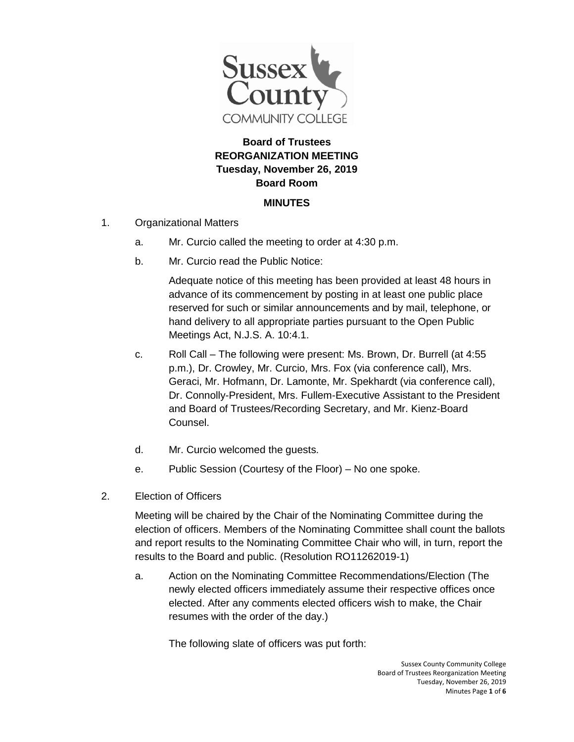

## **Board of Trustees REORGANIZATION MEETING Tuesday, November 26, 2019 Board Room**

## **MINUTES**

- 1. Organizational Matters
	- a. Mr. Curcio called the meeting to order at 4:30 p.m.
	- b. Mr. Curcio read the Public Notice:

Adequate notice of this meeting has been provided at least 48 hours in advance of its commencement by posting in at least one public place reserved for such or similar announcements and by mail, telephone, or hand delivery to all appropriate parties pursuant to the Open Public Meetings Act, N.J.S. A. 10:4.1.

- c. Roll Call The following were present: Ms. Brown, Dr. Burrell (at 4:55 p.m.), Dr. Crowley, Mr. Curcio, Mrs. Fox (via conference call), Mrs. Geraci, Mr. Hofmann, Dr. Lamonte, Mr. Spekhardt (via conference call), Dr. Connolly-President, Mrs. Fullem-Executive Assistant to the President and Board of Trustees/Recording Secretary, and Mr. Kienz-Board Counsel.
- d. Mr. Curcio welcomed the guests.
- e. Public Session (Courtesy of the Floor) No one spoke.
- 2. Election of Officers

Meeting will be chaired by the Chair of the Nominating Committee during the election of officers. Members of the Nominating Committee shall count the ballots and report results to the Nominating Committee Chair who will, in turn, report the results to the Board and public. (Resolution RO11262019-1)

a. Action on the Nominating Committee Recommendations/Election (The newly elected officers immediately assume their respective offices once elected. After any comments elected officers wish to make, the Chair resumes with the order of the day.)

The following slate of officers was put forth: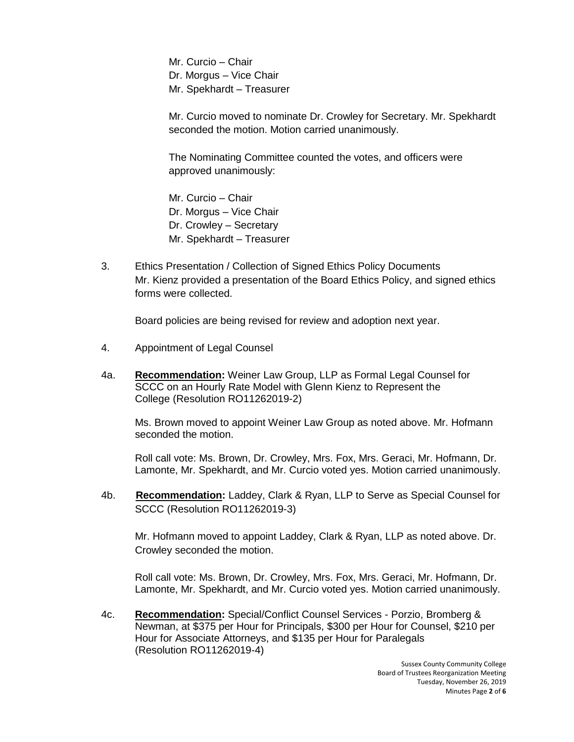Mr. Curcio – Chair Dr. Morgus – Vice Chair Mr. Spekhardt – Treasurer

Mr. Curcio moved to nominate Dr. Crowley for Secretary. Mr. Spekhardt seconded the motion. Motion carried unanimously.

The Nominating Committee counted the votes, and officers were approved unanimously:

Mr. Curcio – Chair Dr. Morgus – Vice Chair Dr. Crowley – Secretary Mr. Spekhardt – Treasurer

3. Ethics Presentation / Collection of Signed Ethics Policy Documents Mr. Kienz provided a presentation of the Board Ethics Policy, and signed ethics forms were collected.

Board policies are being revised for review and adoption next year.

- 4. Appointment of Legal Counsel
- 4a. **Recommendation:** Weiner Law Group, LLP as Formal Legal Counsel for SCCC on an Hourly Rate Model with Glenn Kienz to Represent the College (Resolution RO11262019-2)

Ms. Brown moved to appoint Weiner Law Group as noted above. Mr. Hofmann seconded the motion.

Roll call vote: Ms. Brown, Dr. Crowley, Mrs. Fox, Mrs. Geraci, Mr. Hofmann, Dr. Lamonte, Mr. Spekhardt, and Mr. Curcio voted yes. Motion carried unanimously.

4b. **Recommendation:** Laddey, Clark & Ryan, LLP to Serve as Special Counsel for SCCC (Resolution RO11262019-3)

Mr. Hofmann moved to appoint Laddey, Clark & Ryan, LLP as noted above. Dr. Crowley seconded the motion.

Roll call vote: Ms. Brown, Dr. Crowley, Mrs. Fox, Mrs. Geraci, Mr. Hofmann, Dr. Lamonte, Mr. Spekhardt, and Mr. Curcio voted yes. Motion carried unanimously.

4c. **Recommendation:** Special/Conflict Counsel Services - Porzio, Bromberg & Newman, at \$375 per Hour for Principals, \$300 per Hour for Counsel, \$210 per Hour for Associate Attorneys, and \$135 per Hour for Paralegals (Resolution RO11262019-4)

> Sussex County Community College Board of Trustees Reorganization Meeting Tuesday, November 26, 2019 Minutes Page **2** of **6**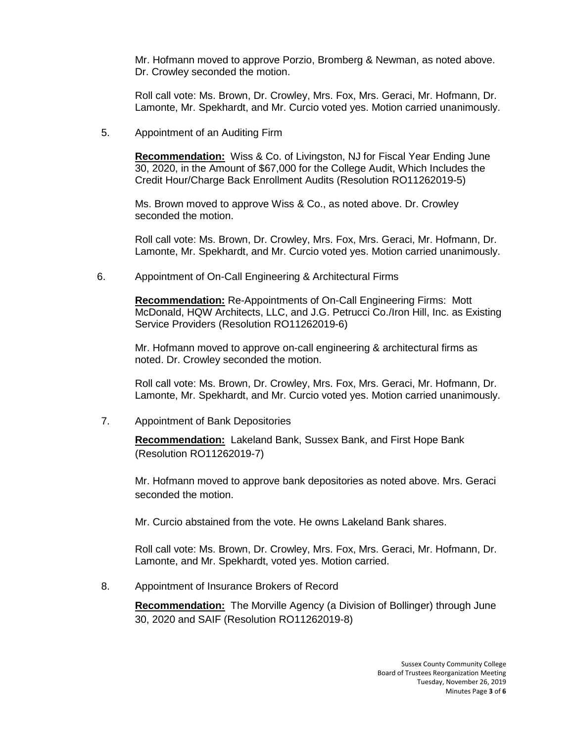Mr. Hofmann moved to approve Porzio, Bromberg & Newman, as noted above. Dr. Crowley seconded the motion.

Roll call vote: Ms. Brown, Dr. Crowley, Mrs. Fox, Mrs. Geraci, Mr. Hofmann, Dr. Lamonte, Mr. Spekhardt, and Mr. Curcio voted yes. Motion carried unanimously.

5. Appointment of an Auditing Firm

**Recommendation:** Wiss & Co. of Livingston, NJ for Fiscal Year Ending June 30, 2020, in the Amount of \$67,000 for the College Audit, Which Includes the Credit Hour/Charge Back Enrollment Audits (Resolution RO11262019-5)

Ms. Brown moved to approve Wiss & Co., as noted above. Dr. Crowley seconded the motion.

Roll call vote: Ms. Brown, Dr. Crowley, Mrs. Fox, Mrs. Geraci, Mr. Hofmann, Dr. Lamonte, Mr. Spekhardt, and Mr. Curcio voted yes. Motion carried unanimously.

6. Appointment of On-Call Engineering & Architectural Firms

**Recommendation:** Re-Appointments of On-Call Engineering Firms: Mott McDonald, HQW Architects, LLC, and J.G. Petrucci Co./Iron Hill, Inc. as Existing Service Providers (Resolution RO11262019-6)

Mr. Hofmann moved to approve on-call engineering & architectural firms as noted. Dr. Crowley seconded the motion.

Roll call vote: Ms. Brown, Dr. Crowley, Mrs. Fox, Mrs. Geraci, Mr. Hofmann, Dr. Lamonte, Mr. Spekhardt, and Mr. Curcio voted yes. Motion carried unanimously.

7. Appointment of Bank Depositories

**Recommendation:** Lakeland Bank, Sussex Bank, and First Hope Bank (Resolution RO11262019-7)

Mr. Hofmann moved to approve bank depositories as noted above. Mrs. Geraci seconded the motion.

Mr. Curcio abstained from the vote. He owns Lakeland Bank shares.

Roll call vote: Ms. Brown, Dr. Crowley, Mrs. Fox, Mrs. Geraci, Mr. Hofmann, Dr. Lamonte, and Mr. Spekhardt, voted yes. Motion carried.

8. Appointment of Insurance Brokers of Record

**Recommendation:** The Morville Agency (a Division of Bollinger) through June 30, 2020 and SAIF (Resolution RO11262019-8)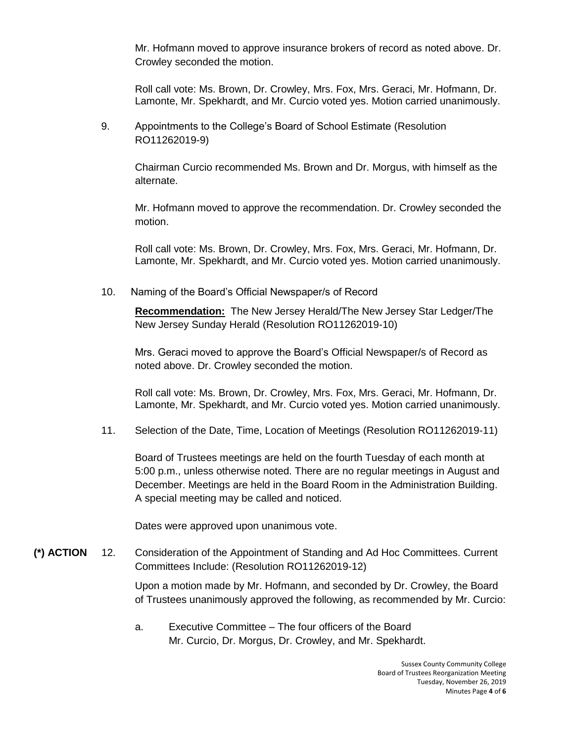Mr. Hofmann moved to approve insurance brokers of record as noted above. Dr. Crowley seconded the motion.

Roll call vote: Ms. Brown, Dr. Crowley, Mrs. Fox, Mrs. Geraci, Mr. Hofmann, Dr. Lamonte, Mr. Spekhardt, and Mr. Curcio voted yes. Motion carried unanimously.

9. Appointments to the College's Board of School Estimate (Resolution RO11262019-9)

Chairman Curcio recommended Ms. Brown and Dr. Morgus, with himself as the alternate.

Mr. Hofmann moved to approve the recommendation. Dr. Crowley seconded the motion.

Roll call vote: Ms. Brown, Dr. Crowley, Mrs. Fox, Mrs. Geraci, Mr. Hofmann, Dr. Lamonte, Mr. Spekhardt, and Mr. Curcio voted yes. Motion carried unanimously.

10. Naming of the Board's Official Newspaper/s of Record

**Recommendation:** The New Jersey Herald/The New Jersey Star Ledger/The New Jersey Sunday Herald (Resolution RO11262019-10)

Mrs. Geraci moved to approve the Board's Official Newspaper/s of Record as noted above. Dr. Crowley seconded the motion.

Roll call vote: Ms. Brown, Dr. Crowley, Mrs. Fox, Mrs. Geraci, Mr. Hofmann, Dr. Lamonte, Mr. Spekhardt, and Mr. Curcio voted yes. Motion carried unanimously.

11. Selection of the Date, Time, Location of Meetings (Resolution RO11262019-11)

Board of Trustees meetings are held on the fourth Tuesday of each month at 5:00 p.m., unless otherwise noted. There are no regular meetings in August and December. Meetings are held in the Board Room in the Administration Building. A special meeting may be called and noticed.

Dates were approved upon unanimous vote.

**(\*) ACTION** 12. Consideration of the Appointment of Standing and Ad Hoc Committees. Current Committees Include: (Resolution RO11262019-12)

> Upon a motion made by Mr. Hofmann, and seconded by Dr. Crowley, the Board of Trustees unanimously approved the following, as recommended by Mr. Curcio:

a. Executive Committee – The four officers of the Board Mr. Curcio, Dr. Morgus, Dr. Crowley, and Mr. Spekhardt.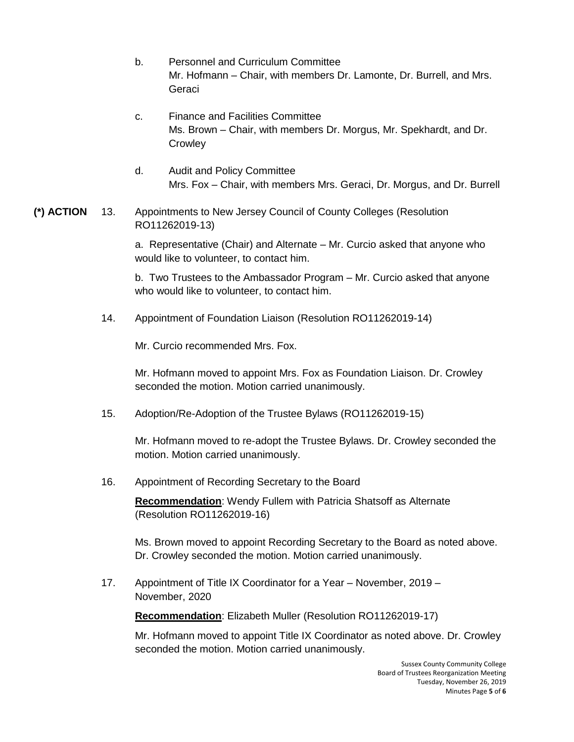- b. Personnel and Curriculum Committee Mr. Hofmann – Chair, with members Dr. Lamonte, Dr. Burrell, and Mrs. Geraci
- c. Finance and Facilities Committee Ms. Brown – Chair, with members Dr. Morgus, Mr. Spekhardt, and Dr. **Crowley**
- d. Audit and Policy Committee Mrs. Fox – Chair, with members Mrs. Geraci, Dr. Morgus, and Dr. Burrell
- **(\*) ACTION** 13. Appointments to New Jersey Council of County Colleges (Resolution RO11262019-13)

a. Representative (Chair) and Alternate – Mr. Curcio asked that anyone who would like to volunteer, to contact him.

b. Two Trustees to the Ambassador Program – Mr. Curcio asked that anyone who would like to volunteer, to contact him.

14. Appointment of Foundation Liaison (Resolution RO11262019-14)

Mr. Curcio recommended Mrs. Fox.

Mr. Hofmann moved to appoint Mrs. Fox as Foundation Liaison. Dr. Crowley seconded the motion. Motion carried unanimously.

15. Adoption/Re-Adoption of the Trustee Bylaws (RO11262019-15)

Mr. Hofmann moved to re-adopt the Trustee Bylaws. Dr. Crowley seconded the motion. Motion carried unanimously.

16. Appointment of Recording Secretary to the Board

**Recommendation**: Wendy Fullem with Patricia Shatsoff as Alternate (Resolution RO11262019-16)

Ms. Brown moved to appoint Recording Secretary to the Board as noted above. Dr. Crowley seconded the motion. Motion carried unanimously.

17. Appointment of Title IX Coordinator for a Year – November, 2019 – November, 2020

**Recommendation**: Elizabeth Muller (Resolution RO11262019-17)

Mr. Hofmann moved to appoint Title IX Coordinator as noted above. Dr. Crowley seconded the motion. Motion carried unanimously.